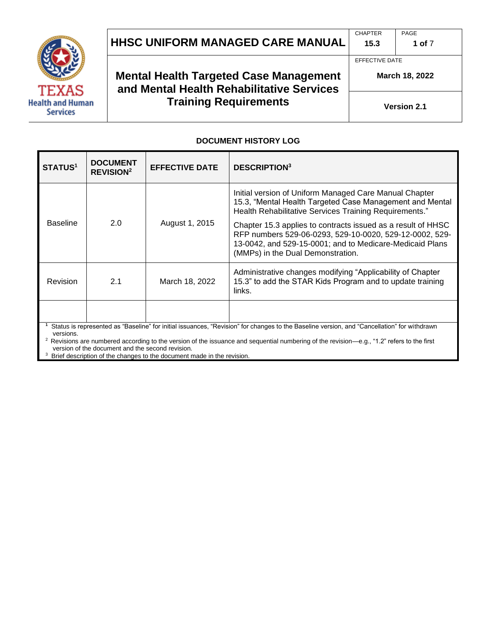

**CHAPTER 15.3** PAGE

EFFECTIVE DATE

**1 of** 7

**Health and Human Services** 

# **Mental Health Targeted Case Management and Mental Health Rehabilitative Services Training Requirements**

**March 18, 2022**

**Version 2.1**

#### **DOCUMENT HISTORY LOG**

| <b>STATUS1</b>                                                                                                                                           | <b>DOCUMENT</b><br><b>REVISION<sup>2</sup></b> | <b>EFFECTIVE DATE</b> | <b>DESCRIPTION3</b>                                                                                                                                                                                                      |
|----------------------------------------------------------------------------------------------------------------------------------------------------------|------------------------------------------------|-----------------------|--------------------------------------------------------------------------------------------------------------------------------------------------------------------------------------------------------------------------|
| <b>Baseline</b>                                                                                                                                          | 2.0                                            | August 1, 2015        | Initial version of Uniform Managed Care Manual Chapter<br>15.3, "Mental Health Targeted Case Management and Mental<br>Health Rehabilitative Services Training Requirements."                                             |
|                                                                                                                                                          |                                                |                       | Chapter 15.3 applies to contracts issued as a result of HHSC<br>RFP numbers 529-06-0293, 529-10-0020, 529-12-0002, 529-<br>13-0042, and 529-15-0001; and to Medicare-Medicaid Plans<br>(MMPs) in the Dual Demonstration. |
| <b>Revision</b>                                                                                                                                          | 2.1                                            | March 18, 2022        | Administrative changes modifying "Applicability of Chapter<br>15.3" to add the STAR Kids Program and to update training<br>links.                                                                                        |
|                                                                                                                                                          |                                                |                       |                                                                                                                                                                                                                          |
| Status is represented as "Baseline" for initial issuances, "Revision" for changes to the Baseline version, and "Cancellation" for withdrawn<br>versions. |                                                |                       |                                                                                                                                                                                                                          |

 $2$  Revisions are numbered according to the version of the issuance and sequential numbering of the revision—e.g., "1.2" refers to the first version of the document and the second revision.

<sup>3</sup> Brief description of the changes to the document made in the revision.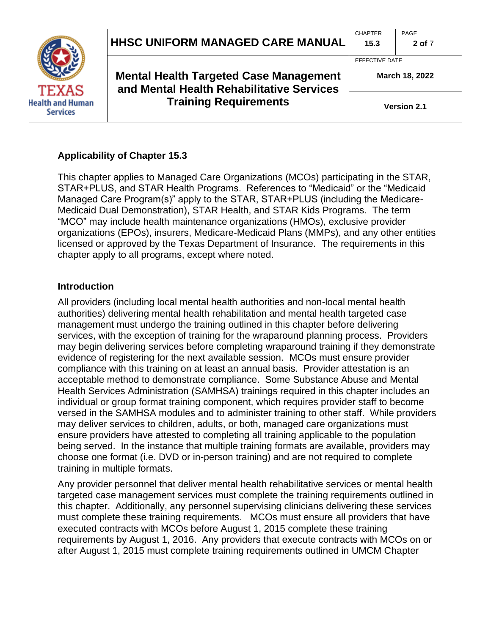

**Mental Health Targeted Case Management and Mental Health Rehabilitative Services Training Requirements**

EFFECTIVE DATE

**March 18, 2022**

**2 of** 7

**Version 2.1**

## **Applicability of Chapter 15.3**

This chapter applies to Managed Care Organizations (MCOs) participating in the STAR, STAR+PLUS, and STAR Health Programs. References to "Medicaid" or the "Medicaid Managed Care Program(s)" apply to the STAR, STAR+PLUS (including the Medicare-Medicaid Dual Demonstration), STAR Health, and STAR Kids Programs. The term "MCO" may include health maintenance organizations (HMOs), exclusive provider organizations (EPOs), insurers, Medicare-Medicaid Plans (MMPs), and any other entities licensed or approved by the Texas Department of Insurance. The requirements in this chapter apply to all programs, except where noted.

### **Introduction**

All providers (including local mental health authorities and non-local mental health authorities) delivering mental health rehabilitation and mental health targeted case management must undergo the training outlined in this chapter before delivering services, with the exception of training for the wraparound planning process. Providers may begin delivering services before completing wraparound training if they demonstrate evidence of registering for the next available session. MCOs must ensure provider compliance with this training on at least an annual basis. Provider attestation is an acceptable method to demonstrate compliance. Some Substance Abuse and Mental Health Services Administration (SAMHSA) trainings required in this chapter includes an individual or group format training component, which requires provider staff to become versed in the SAMHSA modules and to administer training to other staff. While providers may deliver services to children, adults, or both, managed care organizations must ensure providers have attested to completing all training applicable to the population being served. In the instance that multiple training formats are available, providers may choose one format (i.e. DVD or in-person training) and are not required to complete training in multiple formats.

Any provider personnel that deliver mental health rehabilitative services or mental health targeted case management services must complete the training requirements outlined in this chapter. Additionally, any personnel supervising clinicians delivering these services must complete these training requirements. MCOs must ensure all providers that have executed contracts with MCOs before August 1, 2015 complete these training requirements by August 1, 2016. Any providers that execute contracts with MCOs on or after August 1, 2015 must complete training requirements outlined in UMCM Chapter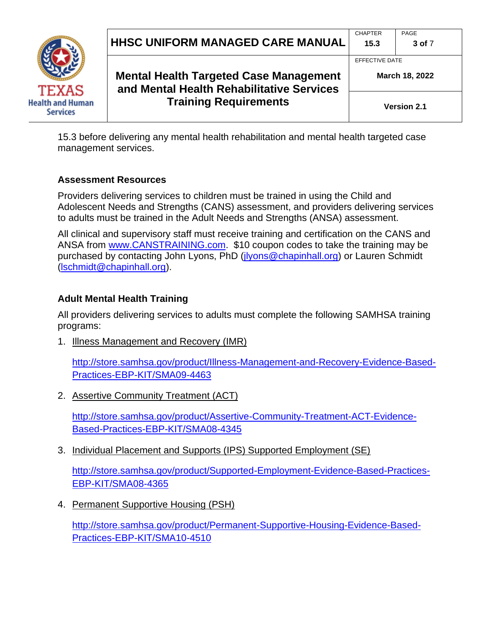



**Mental Health Targeted Case Management and Mental Health Rehabilitative Services Training Requirements**

**Version 2.1**

**March 18, 2022**

15.3 before delivering any mental health rehabilitation and mental health targeted case management services.

## **Assessment Resources**

Providers delivering services to children must be trained in using the Child and Adolescent Needs and Strengths (CANS) assessment, and providers delivering services to adults must be trained in the Adult Needs and Strengths (ANSA) assessment.

All clinical and supervisory staff must receive training and certification on the CANS and ANSA from [www.CANSTRAINING.com.](http://www.canstraining.com/) \$10 coupon codes to take the training may be purchased by contacting John Lyons, PhD [\(jlyons@chapinhall.org\)](mailto:jlyons@chapinhall.org) or Lauren Schmidt [\(lschmidt@chapinhall.org\)](mailto:lschmidt@chapinhall.org).

# **Adult Mental Health Training**

All providers delivering services to adults must complete the following SAMHSA training programs:

1. Illness Management and Recovery (IMR)

[http://store.samhsa.gov/product/Illness-Management-and-Recovery-Evidence-Based-](http://store.samhsa.gov/product/Illness-Management-and-Recovery-Evidence-Based-Practices-EBP-KIT/SMA09-4463)[Practices-EBP-KIT/SMA09-4463](http://store.samhsa.gov/product/Illness-Management-and-Recovery-Evidence-Based-Practices-EBP-KIT/SMA09-4463)

2. Assertive Community Treatment (ACT)

[http://store.samhsa.gov/product/Assertive-Community-Treatment-ACT-Evidence-](http://store.samhsa.gov/product/Assertive-Community-Treatment-ACT-Evidence-Based-Practices-EBP-KIT/SMA08-4345)[Based-Practices-EBP-KIT/SMA08-4345](http://store.samhsa.gov/product/Assertive-Community-Treatment-ACT-Evidence-Based-Practices-EBP-KIT/SMA08-4345)

3. Individual Placement and Supports (IPS) Supported Employment (SE)

[http://store.samhsa.gov/product/Supported-Employment-Evidence-Based-Practices-](http://store.samhsa.gov/product/Supported-Employment-Evidence-Based-Practices-EBP-KIT/SMA08-4365)[EBP-KIT/SMA08-4365](http://store.samhsa.gov/product/Supported-Employment-Evidence-Based-Practices-EBP-KIT/SMA08-4365)

4. Permanent Supportive Housing (PSH)

[http://store.samhsa.gov/product/Permanent-Supportive-Housing-Evidence-Based-](http://store.samhsa.gov/product/Permanent-Supportive-Housing-Evidence-Based-Practices-EBP-KIT/SMA10-4510)[Practices-EBP-KIT/SMA10-4510](http://store.samhsa.gov/product/Permanent-Supportive-Housing-Evidence-Based-Practices-EBP-KIT/SMA10-4510)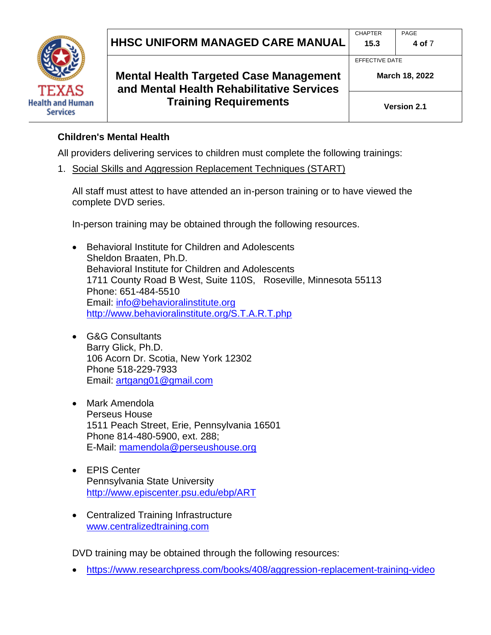**HHSC UNIFORM MANAGED CARE MANUAL**



**Mental Health Targeted Case Management and Mental Health Rehabilitative Services Training Requirements**

**March 18, 2022**

**4 of** 7

#### **Children's Mental Health**

All providers delivering services to children must complete the following trainings:

1. Social Skills and Aggression Replacement Techniques (START)

All staff must attest to have attended an in-person training or to have viewed the complete DVD series.

In-person training may be obtained through the following resources.

- Behavioral Institute for Children and Adolescents Sheldon Braaten, Ph.D. Behavioral Institute for Children and Adolescents 1711 County Road B West, Suite 110S, Roseville, Minnesota 55113 Phone: 651-484-5510 Email: [info@behavioralinstitute.org](mailto:info@behavioralinstitute.org) <http://www.behavioralinstitute.org/S.T.A.R.T.php>
- G&G Consultants Barry Glick, Ph.D. 106 Acorn Dr. Scotia, New York 12302 Phone 518-229-7933 Email: [artgang01@gmail.com](mailto:artgang01@gmail.com)
- Mark Amendola Perseus House 1511 Peach Street, Erie, Pennsylvania 16501 Phone 814-480-5900, ext. 288; E-Mail: [mamendola@perseushouse.org](mailto:mamendola@perseushouse.org)
- EPIS Center Pennsylvania State University <http://www.episcenter.psu.edu/ebp/ART>
- Centralized Training Infrastructure [www.centralizedtraining.com](http://www.centralizedtraining.com/)

DVD training may be obtained through the following resources:

• <https://www.researchpress.com/books/408/aggression-replacement-training-video>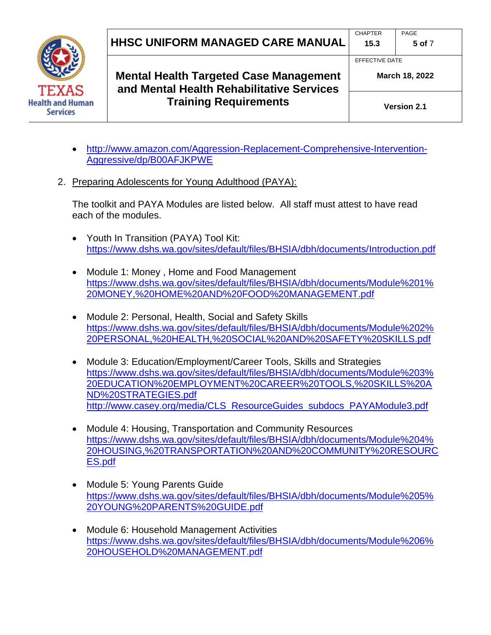

**Mental Health Targeted Case Management and Mental Health Rehabilitative Services Training Requirements**

**March 18, 2022**

**5 of** 7

- [http://www.amazon.com/Aggression-Replacement-Comprehensive-Intervention-](http://www.amazon.com/Aggression-Replacement-Comprehensive-Intervention-Aggressive/dp/B00AFJKPWE)[Aggressive/dp/B00AFJKPWE](http://www.amazon.com/Aggression-Replacement-Comprehensive-Intervention-Aggressive/dp/B00AFJKPWE)
- 2. Preparing Adolescents for Young Adulthood (PAYA):

The toolkit and PAYA Modules are listed below. All staff must attest to have read each of the modules.

- Youth In Transition (PAYA) Tool Kit: <https://www.dshs.wa.gov/sites/default/files/BHSIA/dbh/documents/Introduction.pdf>
- Module 1: Money , Home and Food Management [https://www.dshs.wa.gov/sites/default/files/BHSIA/dbh/documents/Module%201%](https://www.dshs.wa.gov/sites/default/files/BHSIA/dbh/documents/Module%201%20MONEY,%20HOME%20AND%20FOOD%20MANAGEMENT.pdf) [20MONEY,%20HOME%20AND%20FOOD%20MANAGEMENT.pdf](https://www.dshs.wa.gov/sites/default/files/BHSIA/dbh/documents/Module%201%20MONEY,%20HOME%20AND%20FOOD%20MANAGEMENT.pdf)
- Module 2: Personal, Health, Social and Safety Skills [https://www.dshs.wa.gov/sites/default/files/BHSIA/dbh/documents/Module%202%](https://www.dshs.wa.gov/sites/default/files/BHSIA/dbh/documents/Module%202%20PERSONAL,%20HEALTH,%20SOCIAL%20AND%20SAFETY%20SKILLS.pdf) [20PERSONAL,%20HEALTH,%20SOCIAL%20AND%20SAFETY%20SKILLS.pdf](https://www.dshs.wa.gov/sites/default/files/BHSIA/dbh/documents/Module%202%20PERSONAL,%20HEALTH,%20SOCIAL%20AND%20SAFETY%20SKILLS.pdf)
- Module 3: Education/Employment/Career Tools, Skills and Strategies [https://www.dshs.wa.gov/sites/default/files/BHSIA/dbh/documents/Module%203%](https://www.dshs.wa.gov/sites/default/files/BHSIA/dbh/documents/Module%203%20EDUCATION%20EMPLOYMENT%20CAREER%20TOOLS,%20SKILLS%20AND%20STRATEGIES.pdf) [20EDUCATION%20EMPLOYMENT%20CAREER%20TOOLS,%20SKILLS%20A](https://www.dshs.wa.gov/sites/default/files/BHSIA/dbh/documents/Module%203%20EDUCATION%20EMPLOYMENT%20CAREER%20TOOLS,%20SKILLS%20AND%20STRATEGIES.pdf) [ND%20STRATEGIES.pdf](https://www.dshs.wa.gov/sites/default/files/BHSIA/dbh/documents/Module%203%20EDUCATION%20EMPLOYMENT%20CAREER%20TOOLS,%20SKILLS%20AND%20STRATEGIES.pdf) [http://www.casey.org/media/CLS\\_ResourceGuides\\_subdocs\\_PAYAModule3.pdf](http://www.casey.org/media/CLS_ResourceGuides_subdocs_PAYAModule3.pdf)
- Module 4: Housing, Transportation and Community Resources [https://www.dshs.wa.gov/sites/default/files/BHSIA/dbh/documents/Module%204%](https://www.dshs.wa.gov/sites/default/files/BHSIA/dbh/documents/Module%204%20HOUSING,%20TRANSPORTATION%20AND%20COMMUNITY%20RESOURCES.pdf) [20HOUSING,%20TRANSPORTATION%20AND%20COMMUNITY%20RESOURC](https://www.dshs.wa.gov/sites/default/files/BHSIA/dbh/documents/Module%204%20HOUSING,%20TRANSPORTATION%20AND%20COMMUNITY%20RESOURCES.pdf) [ES.pdf](https://www.dshs.wa.gov/sites/default/files/BHSIA/dbh/documents/Module%204%20HOUSING,%20TRANSPORTATION%20AND%20COMMUNITY%20RESOURCES.pdf)
- Module 5: Young Parents Guide [https://www.dshs.wa.gov/sites/default/files/BHSIA/dbh/documents/Module%205%](https://www.dshs.wa.gov/sites/default/files/BHSIA/dbh/documents/Module%205%20YOUNG%20PARENTS%20GUIDE.pdf) [20YOUNG%20PARENTS%20GUIDE.pdf](https://www.dshs.wa.gov/sites/default/files/BHSIA/dbh/documents/Module%205%20YOUNG%20PARENTS%20GUIDE.pdf)
- Module 6: Household Management Activities [https://www.dshs.wa.gov/sites/default/files/BHSIA/dbh/documents/Module%206%](https://www.dshs.wa.gov/sites/default/files/BHSIA/dbh/documents/Module%206%20HOUSEHOLD%20MANAGEMENT.pdf) [20HOUSEHOLD%20MANAGEMENT.pdf](https://www.dshs.wa.gov/sites/default/files/BHSIA/dbh/documents/Module%206%20HOUSEHOLD%20MANAGEMENT.pdf)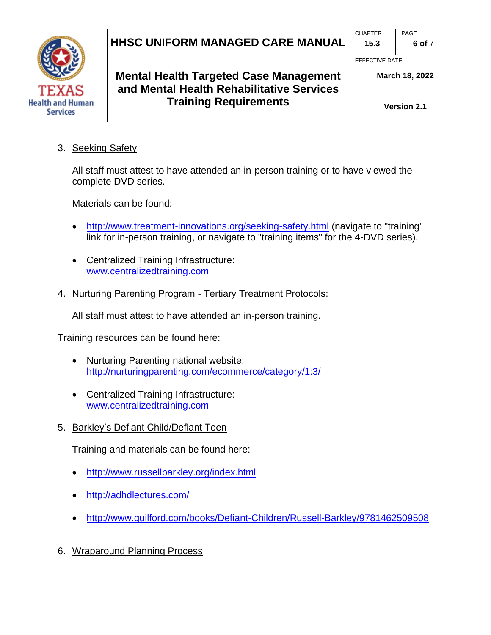

**Health and Human Services** 

**Mental Health Targeted Case Management and Mental Health Rehabilitative Services Training Requirements**

**Version 2.1**

**March 18, 2022**

3. Seeking Safety

All staff must attest to have attended an in-person training or to have viewed the complete DVD series.

Materials can be found:

- <http://www.treatment-innovations.org/seeking-safety.html> (navigate to "training" link for in-person training, or navigate to "training items" for the 4-DVD series).
- Centralized Training Infrastructure: [www.centralizedtraining.com](http://www.centralizedtraining.com/)
- 4. Nurturing Parenting Program Tertiary Treatment Protocols:

All staff must attest to have attended an in-person training.

Training resources can be found here:

- Nurturing Parenting national website: <http://nurturingparenting.com/ecommerce/category/1:3/>
- Centralized Training Infrastructure: [www.centralizedtraining.com](http://www.centralizedtraining.com/)
- 5. Barkley's Defiant Child/Defiant Teen

Training and materials can be found here:

- <http://www.russellbarkley.org/index.html>
- <http://adhdlectures.com/>
- <http://www.guilford.com/books/Defiant-Children/Russell-Barkley/9781462509508>
- 6. Wraparound Planning Process